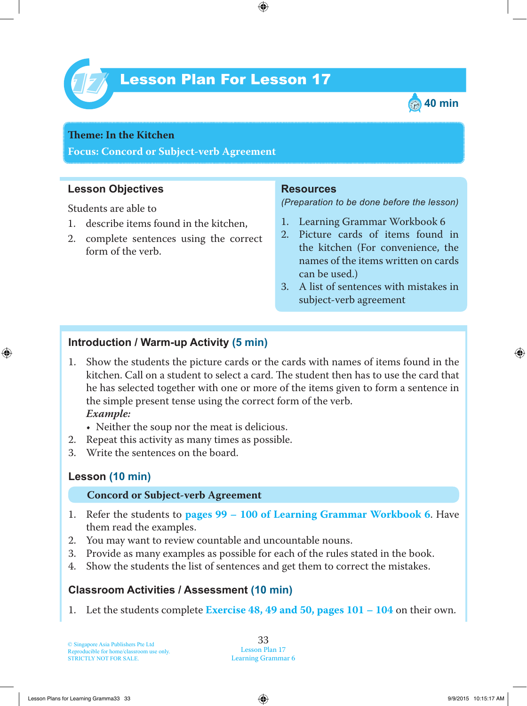

## Lesson Plan For Lesson 17 *17*



# **Theme:** In the Kitchen

**Focus: Concord or Subject-verb Agreement**

## **Lesson Objectives**

Students are able to

- 1. describe items found in the kitchen,
- 2. complete sentences using the correct form of the verb.

#### **Resources**

*(Preparation to be done before the lesson)*

- 1. Learning Grammar Workbook 6
- 2. Picture cards of items found in the kitchen (For convenience, the names of the items written on cards can be used.)
- 3. A list of sentences with mistakes in subject-verb agreement

## **Introduction / Warm-up Activity (5 min)**

- 1 . Show the students the picture cards or the cards with names of items found in the kitchen. Call on a student to select a card. The student then has to use the card that he has selected together with one or more of the items given to form a sentence in the simple present tense using the correct form of the verb.  *Example:*
	- Neither the soup nor the meat is delicious.
- 2. Repeat this activity as many times as possible.
- 3. Write the sentences on the board.

## **Lesson (10 min)**

#### **Concord or Subject-verb Agreement**

- 1 . Refer the students to **pages 99 – 100 of Learning Grammar Workbook 6** . Have them read the examples.
- 2. You may want to review countable and uncountable nouns.
- 3. Provide as many examples as possible for each of the rules stated in the book.
- 4. Show the students the list of sentences and get them to correct the mistakes.

## **Classroom Activities / Assessment (10 min)**

1 . Let the students complete **Exercise 48, 49 and 50, pages 101 – 104** on their own.